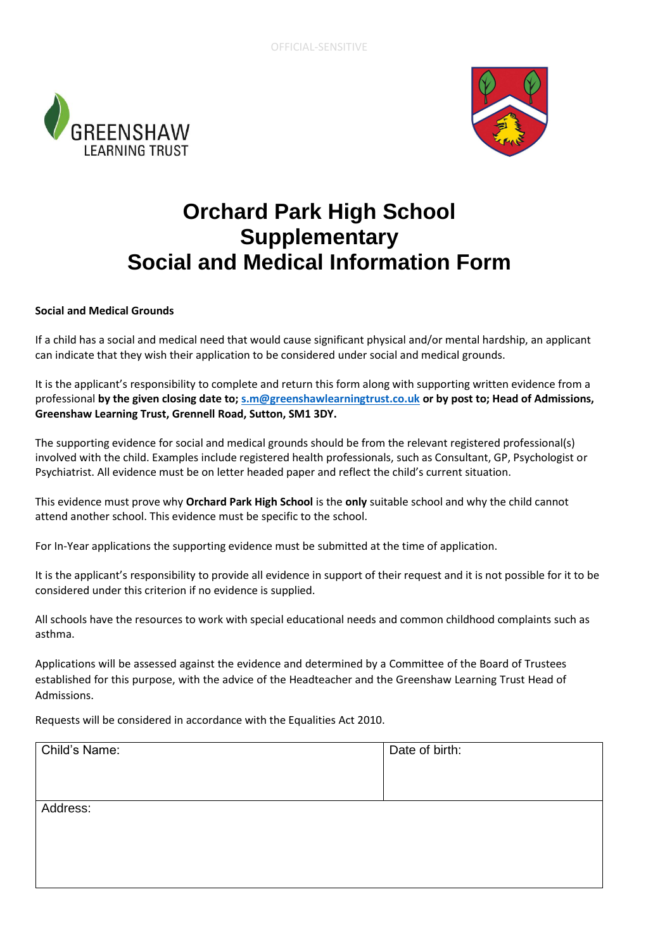



## **Orchard Park High School Supplementary Social and Medical Information Form**

## **Social and Medical Grounds**

If a child has a social and medical need that would cause significant physical and/or mental hardship, an applicant can indicate that they wish their application to be considered under social and medical grounds.

It is the applicant's responsibility to complete and return this form along with supporting written evidence from a professional **by the given closing date to; [s.m@greenshawlearningtrust.co.uk](mailto:s.m@greenshawlearningtrust.co.uk) or by post to; Head of Admissions, Greenshaw Learning Trust, Grennell Road, Sutton, SM1 3DY.**

The supporting evidence for social and medical grounds should be from the relevant registered professional(s) involved with the child. Examples include registered health professionals, such as Consultant, GP, Psychologist or Psychiatrist. All evidence must be on letter headed paper and reflect the child's current situation.

This evidence must prove why **Orchard Park High School** is the **only** suitable school and why the child cannot attend another school. This evidence must be specific to the school.

For In-Year applications the supporting evidence must be submitted at the time of application.

It is the applicant's responsibility to provide all evidence in support of their request and it is not possible for it to be considered under this criterion if no evidence is supplied.

All schools have the resources to work with special educational needs and common childhood complaints such as asthma.

Applications will be assessed against the evidence and determined by a Committee of the Board of Trustees established for this purpose, with the advice of the Headteacher and the Greenshaw Learning Trust Head of Admissions.

Requests will be considered in accordance with the Equalities Act 2010.

| Child's Name: | Date of birth: |
|---------------|----------------|
|               |                |
|               |                |
| Address:      |                |
|               |                |
|               |                |
|               |                |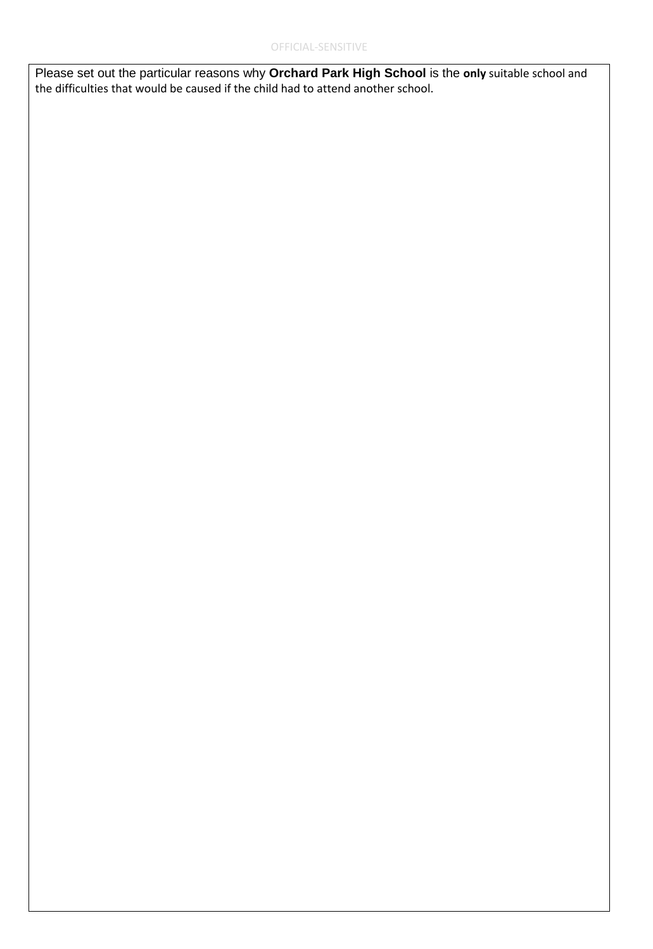Please set out the particular reasons why **Orchard Park High School** is the **only** suitable school and the difficulties that would be caused if the child had to attend another school.